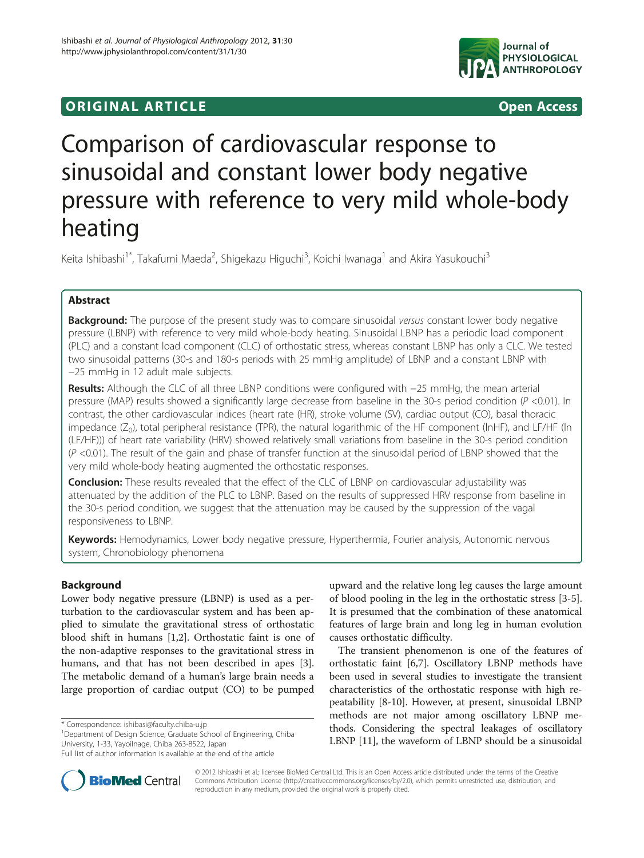# original and the open Access of the Open Access of the Open Access of the Open Access of the Open Access of the Open Access of the Open Access of the Open Access of the Open Access of the Open Access of the Open Access of



# Comparison of cardiovascular response to sinusoidal and constant lower body negative pressure with reference to very mild whole-body heating

Keita Ishibashi<sup>1\*</sup>, Takafumi Maeda<sup>2</sup>, Shigekazu Higuchi<sup>3</sup>, Koichi Iwanaga<sup>1</sup> and Akira Yasukouchi<sup>3</sup>

# Abstract

**Background:** The purpose of the present study was to compare sinusoidal versus constant lower body negative pressure (LBNP) with reference to very mild whole-body heating. Sinusoidal LBNP has a periodic load component (PLC) and a constant load component (CLC) of orthostatic stress, whereas constant LBNP has only a CLC. We tested two sinusoidal patterns (30-s and 180-s periods with 25 mmHg amplitude) of LBNP and a constant LBNP with −25 mmHg in 12 adult male subjects.

Results: Although the CLC of all three LBNP conditions were configured with −25 mmHg, the mean arterial pressure (MAP) results showed a significantly large decrease from baseline in the 30-s period condition (P <0.01). In contrast, the other cardiovascular indices (heart rate (HR), stroke volume (SV), cardiac output (CO), basal thoracic impedance  $(Z_0)$ , total peripheral resistance (TPR), the natural logarithmic of the HF component (lnHF), and LF/HF (ln (LF/HF))) of heart rate variability (HRV) showed relatively small variations from baseline in the 30-s period condition  $(P < 0.01)$ . The result of the gain and phase of transfer function at the sinusoidal period of LBNP showed that the very mild whole-body heating augmented the orthostatic responses.

**Conclusion:** These results revealed that the effect of the CLC of LBNP on cardiovascular adjustability was attenuated by the addition of the PLC to LBNP. Based on the results of suppressed HRV response from baseline in the 30-s period condition, we suggest that the attenuation may be caused by the suppression of the vagal responsiveness to LBNP.

Keywords: Hemodynamics, Lower body negative pressure, Hyperthermia, Fourier analysis, Autonomic nervous system, Chronobiology phenomena

# Background

Lower body negative pressure (LBNP) is used as a perturbation to the cardiovascular system and has been applied to simulate the gravitational stress of orthostatic blood shift in humans [[1,2\]](#page-10-0). Orthostatic faint is one of the non-adaptive responses to the gravitational stress in humans, and that has not been described in apes [\[3](#page-10-0)]. The metabolic demand of a human's large brain needs a large proportion of cardiac output (CO) to be pumped

\* Correspondence: [ishibasi@faculty.chiba-u.jp](mailto:ishibasi@faculty.chiba-u.jp) <sup>1</sup>

<sup>1</sup>Department of Design Science, Graduate School of Engineering, Chiba University, 1-33, Yayoilnage, Chiba 263-8522, Japan

upward and the relative long leg causes the large amount of blood pooling in the leg in the orthostatic stress [[3-5](#page-10-0)]. It is presumed that the combination of these anatomical features of large brain and long leg in human evolution causes orthostatic difficulty.

The transient phenomenon is one of the features of orthostatic faint [[6,7\]](#page-10-0). Oscillatory LBNP methods have been used in several studies to investigate the transient characteristics of the orthostatic response with high repeatability [[8](#page-10-0)-[10\]](#page-10-0). However, at present, sinusoidal LBNP methods are not major among oscillatory LBNP methods. Considering the spectral leakages of oscillatory LBNP [[11\]](#page-10-0), the waveform of LBNP should be a sinusoidal



© 2012 Ishibashi et al.; licensee BioMed Central Ltd. This is an Open Access article distributed under the terms of the Creative Commons Attribution License [\(http://creativecommons.org/licenses/by/2.0\)](http://creativecommons.org/licenses/by/2.0), which permits unrestricted use, distribution, and reproduction in any medium, provided the original work is properly cited.

Full list of author information is available at the end of the article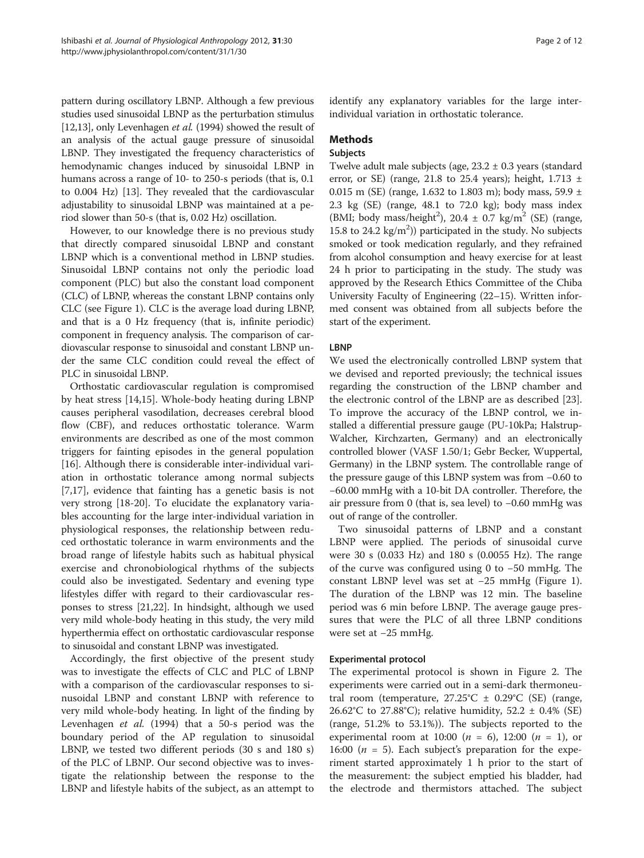pattern during oscillatory LBNP. Although a few previous studies used sinusoidal LBNP as the perturbation stimulus [[12,13](#page-10-0)], only Levenhagen et al. (1994) showed the result of an analysis of the actual gauge pressure of sinusoidal LBNP. They investigated the frequency characteristics of hemodynamic changes induced by sinusoidal LBNP in humans across a range of 10- to 250-s periods (that is, 0.1 to 0.004 Hz) [\[13\]](#page-10-0). They revealed that the cardiovascular adjustability to sinusoidal LBNP was maintained at a period slower than 50-s (that is, 0.02 Hz) oscillation.

However, to our knowledge there is no previous study that directly compared sinusoidal LBNP and constant LBNP which is a conventional method in LBNP studies. Sinusoidal LBNP contains not only the periodic load component (PLC) but also the constant load component (CLC) of LBNP, whereas the constant LBNP contains only CLC (see Figure [1\)](#page-2-0). CLC is the average load during LBNP, and that is a 0 Hz frequency (that is, infinite periodic) component in frequency analysis. The comparison of cardiovascular response to sinusoidal and constant LBNP under the same CLC condition could reveal the effect of PLC in sinusoidal LBNP.

Orthostatic cardiovascular regulation is compromised by heat stress [[14,15\]](#page-10-0). Whole-body heating during LBNP causes peripheral vasodilation, decreases cerebral blood flow (CBF), and reduces orthostatic tolerance. Warm environments are described as one of the most common triggers for fainting episodes in the general population [[16\]](#page-10-0). Although there is considerable inter-individual variation in orthostatic tolerance among normal subjects [[7,17\]](#page-10-0), evidence that fainting has a genetic basis is not very strong [[18](#page-10-0)-[20\]](#page-10-0). To elucidate the explanatory variables accounting for the large inter-individual variation in physiological responses, the relationship between reduced orthostatic tolerance in warm environments and the broad range of lifestyle habits such as habitual physical exercise and chronobiological rhythms of the subjects could also be investigated. Sedentary and evening type lifestyles differ with regard to their cardiovascular responses to stress [[21,22\]](#page-10-0). In hindsight, although we used very mild whole-body heating in this study, the very mild hyperthermia effect on orthostatic cardiovascular response to sinusoidal and constant LBNP was investigated.

Accordingly, the first objective of the present study was to investigate the effects of CLC and PLC of LBNP with a comparison of the cardiovascular responses to sinusoidal LBNP and constant LBNP with reference to very mild whole-body heating. In light of the finding by Levenhagen et al. (1994) that a 50-s period was the boundary period of the AP regulation to sinusoidal LBNP, we tested two different periods (30 s and 180 s) of the PLC of LBNP. Our second objective was to investigate the relationship between the response to the LBNP and lifestyle habits of the subject, as an attempt to identify any explanatory variables for the large interindividual variation in orthostatic tolerance.

# Methods

#### Subjects

Twelve adult male subjects (age,  $23.2 \pm 0.3$  years (standard error, or SE) (range, 21.8 to 25.4 years); height,  $1.713 \pm$ 0.015 m (SE) (range, 1.632 to 1.803 m); body mass, 59.9 ± 2.3 kg (SE) (range, 48.1 to 72.0 kg); body mass index (BMI; body mass/height<sup>2</sup>), 20.4  $\pm$  0.7 kg/m<sup>2</sup> (SE) (range, 15.8 to 24.2  $\text{kg/m}^2$ )) participated in the study. No subjects smoked or took medication regularly, and they refrained from alcohol consumption and heavy exercise for at least 24 h prior to participating in the study. The study was approved by the Research Ethics Committee of the Chiba University Faculty of Engineering (22–15). Written informed consent was obtained from all subjects before the start of the experiment.

# **LBNP**

We used the electronically controlled LBNP system that we devised and reported previously; the technical issues regarding the construction of the LBNP chamber and the electronic control of the LBNP are as described [\[23](#page-11-0)]. To improve the accuracy of the LBNP control, we installed a differential pressure gauge (PU-10kPa; Halstrup-Walcher, Kirchzarten, Germany) and an electronically controlled blower (VASF 1.50/1; Gebr Becker, Wuppertal, Germany) in the LBNP system. The controllable range of the pressure gauge of this LBNP system was from −0.60 to −60.00 mmHg with a 10-bit DA controller. Therefore, the air pressure from 0 (that is, sea level) to −0.60 mmHg was out of range of the controller.

Two sinusoidal patterns of LBNP and a constant LBNP were applied. The periods of sinusoidal curve were 30 s (0.033 Hz) and 180 s (0.0055 Hz). The range of the curve was configured using 0 to −50 mmHg. The constant LBNP level was set at −25 mmHg (Figure [1](#page-2-0)). The duration of the LBNP was 12 min. The baseline period was 6 min before LBNP. The average gauge pressures that were the PLC of all three LBNP conditions were set at −25 mmHg.

# Experimental protocol

The experimental protocol is shown in Figure [2](#page-3-0). The experiments were carried out in a semi-dark thermoneutral room (temperature,  $27.25^{\circ}$ C  $\pm$  0.29 $^{\circ}$ C (SE) (range, 26.62°C to 27.88°C); relative humidity, 52.2  $\pm$  0.4% (SE) (range, 51.2% to 53.1%)). The subjects reported to the experimental room at 10:00 ( $n = 6$ ), 12:00 ( $n = 1$ ), or 16:00 ( $n = 5$ ). Each subject's preparation for the experiment started approximately 1 h prior to the start of the measurement: the subject emptied his bladder, had the electrode and thermistors attached. The subject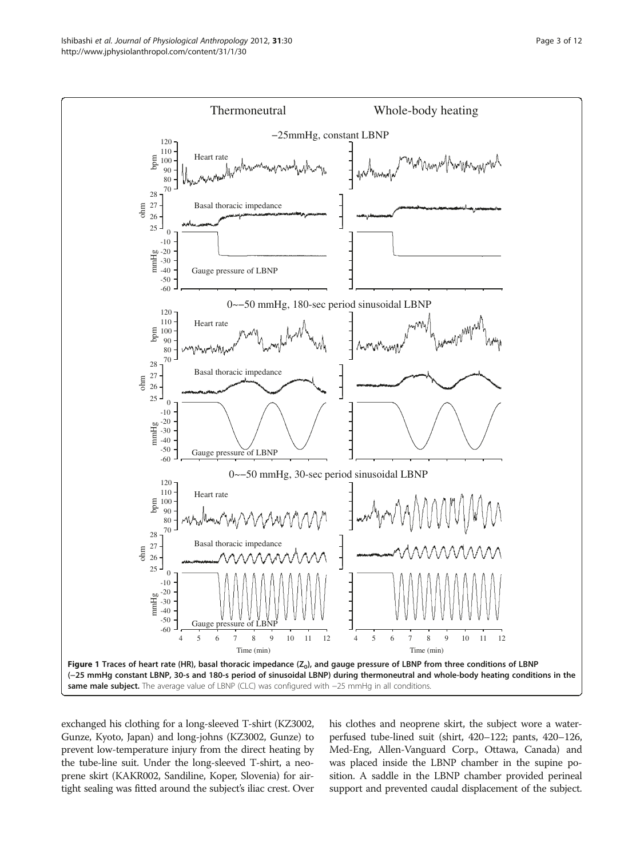<span id="page-2-0"></span>

exchanged his clothing for a long-sleeved T-shirt (KZ3002, Gunze, Kyoto, Japan) and long-johns (KZ3002, Gunze) to prevent low-temperature injury from the direct heating by the tube-line suit. Under the long-sleeved T-shirt, a neoprene skirt (KAKR002, Sandiline, Koper, Slovenia) for airtight sealing was fitted around the subject's iliac crest. Over his clothes and neoprene skirt, the subject wore a waterperfused tube-lined suit (shirt, 420–122; pants, 420–126, Med-Eng, Allen-Vanguard Corp., Ottawa, Canada) and was placed inside the LBNP chamber in the supine position. A saddle in the LBNP chamber provided perineal support and prevented caudal displacement of the subject.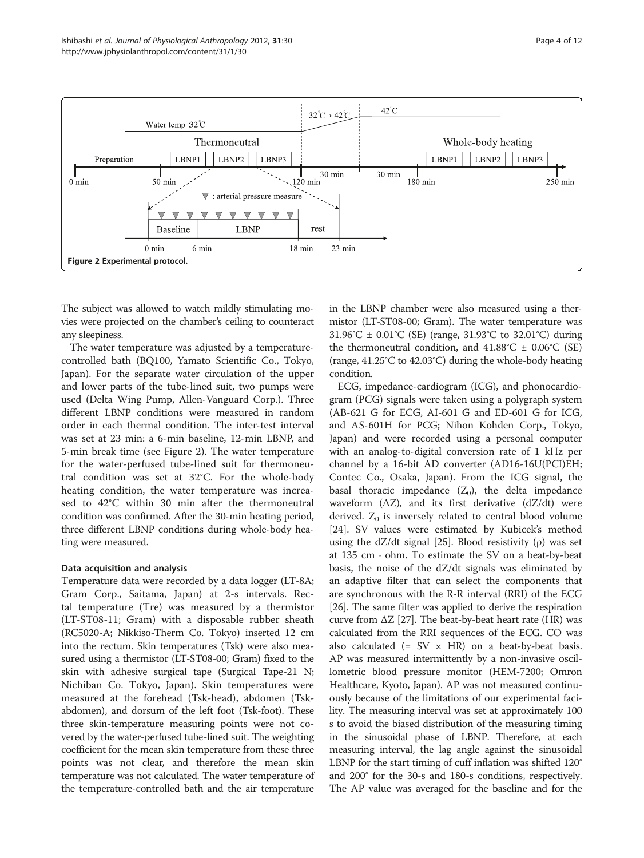<span id="page-3-0"></span>

The subject was allowed to watch mildly stimulating movies were projected on the chamber's ceiling to counteract any sleepiness.

The water temperature was adjusted by a temperaturecontrolled bath (BQ100, Yamato Scientific Co., Tokyo, Japan). For the separate water circulation of the upper and lower parts of the tube-lined suit, two pumps were used (Delta Wing Pump, Allen-Vanguard Corp.). Three different LBNP conditions were measured in random order in each thermal condition. The inter-test interval was set at 23 min: a 6-min baseline, 12-min LBNP, and 5-min break time (see Figure 2). The water temperature for the water-perfused tube-lined suit for thermoneutral condition was set at 32°C. For the whole-body heating condition, the water temperature was increased to 42°C within 30 min after the thermoneutral condition was confirmed. After the 30-min heating period, three different LBNP conditions during whole-body heating were measured.

#### Data acquisition and analysis

Temperature data were recorded by a data logger (LT-8A; Gram Corp., Saitama, Japan) at 2-s intervals. Rectal temperature (Tre) was measured by a thermistor (LT-ST08-11; Gram) with a disposable rubber sheath (RC5020-A; Nikkiso-Therm Co. Tokyo) inserted 12 cm into the rectum. Skin temperatures (Tsk) were also measured using a thermistor (LT-ST08-00; Gram) fixed to the skin with adhesive surgical tape (Surgical Tape-21 N; Nichiban Co. Tokyo, Japan). Skin temperatures were measured at the forehead (Tsk-head), abdomen (Tskabdomen), and dorsum of the left foot (Tsk-foot). These three skin-temperature measuring points were not covered by the water-perfused tube-lined suit. The weighting coefficient for the mean skin temperature from these three points was not clear, and therefore the mean skin temperature was not calculated. The water temperature of the temperature-controlled bath and the air temperature in the LBNP chamber were also measured using a thermistor (LT-ST08-00; Gram). The water temperature was 31.96°C ± 0.01°C (SE) (range, 31.93°C to 32.01°C) during the thermoneutral condition, and  $41.88^{\circ}C \pm 0.06^{\circ}C$  (SE) (range, 41.25°C to 42.03°C) during the whole-body heating condition.

ECG, impedance-cardiogram (ICG), and phonocardiogram (PCG) signals were taken using a polygraph system (AB-621 G for ECG, AI-601 G and ED-601 G for ICG, and AS-601H for PCG; Nihon Kohden Corp., Tokyo, Japan) and were recorded using a personal computer with an analog-to-digital conversion rate of 1 kHz per channel by a 16-bit AD converter (AD16-16U(PCI)EH; Contec Co., Osaka, Japan). From the ICG signal, the basal thoracic impedance  $(Z_0)$ , the delta impedance waveform  $(\Delta Z)$ , and its first derivative  $(dZ/dt)$  were derived.  $Z_0$  is inversely related to central blood volume [[24\]](#page-11-0). SV values were estimated by Kubicek's method using the dZ/dt signal [\[25](#page-11-0)]. Blood resistivity  $(\rho)$  was set at 135 cm  $\cdot$  ohm. To estimate the SV on a beat-by-beat basis, the noise of the dZ/dt signals was eliminated by an adaptive filter that can select the components that are synchronous with the R-R interval (RRI) of the ECG [[26](#page-11-0)]. The same filter was applied to derive the respiration curve from  $\Delta Z$  [[27](#page-11-0)]. The beat-by-beat heart rate (HR) was calculated from the RRI sequences of the ECG. CO was also calculated  $(= SV \times HR)$  on a beat-by-beat basis. AP was measured intermittently by a non-invasive oscillometric blood pressure monitor (HEM-7200; Omron Healthcare, Kyoto, Japan). AP was not measured continuously because of the limitations of our experimental facility. The measuring interval was set at approximately 100 s to avoid the biased distribution of the measuring timing in the sinusoidal phase of LBNP. Therefore, at each measuring interval, the lag angle against the sinusoidal LBNP for the start timing of cuff inflation was shifted 120° and 200° for the 30-s and 180-s conditions, respectively. The AP value was averaged for the baseline and for the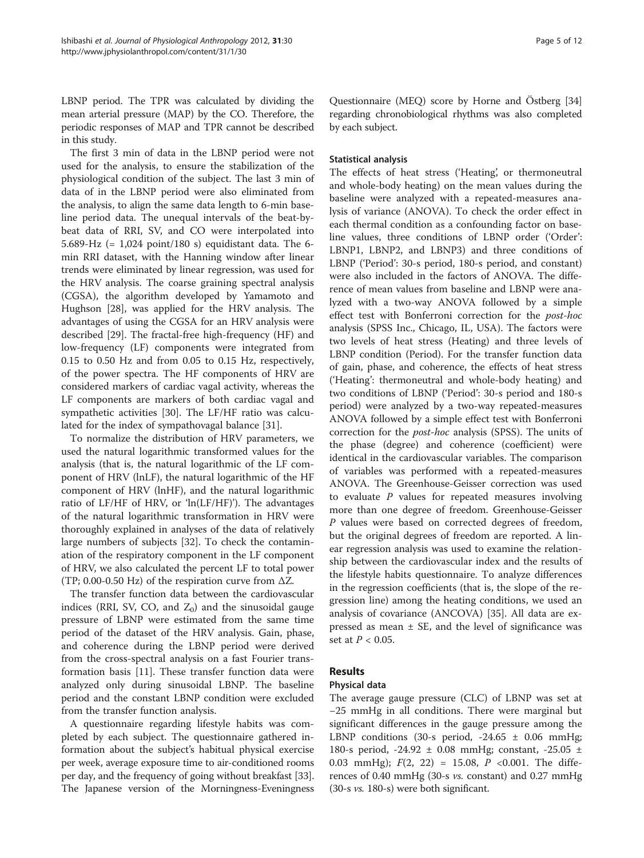LBNP period. The TPR was calculated by dividing the mean arterial pressure (MAP) by the CO. Therefore, the periodic responses of MAP and TPR cannot be described in this study.

The first 3 min of data in the LBNP period were not used for the analysis, to ensure the stabilization of the physiological condition of the subject. The last 3 min of data of in the LBNP period were also eliminated from the analysis, to align the same data length to 6-min baseline period data. The unequal intervals of the beat-bybeat data of RRI, SV, and CO were interpolated into 5.689-Hz (= 1,024 point/180 s) equidistant data. The 6 min RRI dataset, with the Hanning window after linear trends were eliminated by linear regression, was used for the HRV analysis. The coarse graining spectral analysis (CGSA), the algorithm developed by Yamamoto and Hughson [\[28\]](#page-11-0), was applied for the HRV analysis. The advantages of using the CGSA for an HRV analysis were described [\[29\]](#page-11-0). The fractal-free high-frequency (HF) and low-frequency (LF) components were integrated from 0.15 to 0.50 Hz and from 0.05 to 0.15 Hz, respectively, of the power spectra. The HF components of HRV are considered markers of cardiac vagal activity, whereas the LF components are markers of both cardiac vagal and sympathetic activities [[30\]](#page-11-0). The LF/HF ratio was calculated for the index of sympathovagal balance [[31\]](#page-11-0).

To normalize the distribution of HRV parameters, we used the natural logarithmic transformed values for the analysis (that is, the natural logarithmic of the LF component of HRV (lnLF), the natural logarithmic of the HF component of HRV (lnHF), and the natural logarithmic ratio of LF/HF of HRV, or 'ln(LF/HF)'). The advantages of the natural logarithmic transformation in HRV were thoroughly explained in analyses of the data of relatively large numbers of subjects [[32](#page-11-0)]. To check the contamination of the respiratory component in the LF component of HRV, we also calculated the percent LF to total power (TP; 0.00-0.50 Hz) of the respiration curve from  $\Delta Z$ .

The transfer function data between the cardiovascular indices (RRI, SV, CO, and  $Z_0$ ) and the sinusoidal gauge pressure of LBNP were estimated from the same time period of the dataset of the HRV analysis. Gain, phase, and coherence during the LBNP period were derived from the cross-spectral analysis on a fast Fourier transformation basis [\[11](#page-10-0)]. These transfer function data were analyzed only during sinusoidal LBNP. The baseline period and the constant LBNP condition were excluded from the transfer function analysis.

A questionnaire regarding lifestyle habits was completed by each subject. The questionnaire gathered information about the subject's habitual physical exercise per week, average exposure time to air-conditioned rooms per day, and the frequency of going without breakfast [[33](#page-11-0)]. The Japanese version of the Morningness-Eveningness Questionnaire (MEQ) score by Horne and Östberg [[34](#page-11-0)] regarding chronobiological rhythms was also completed by each subject.

# Statistical analysis

The effects of heat stress ('Heating', or thermoneutral and whole-body heating) on the mean values during the baseline were analyzed with a repeated-measures analysis of variance (ANOVA). To check the order effect in each thermal condition as a confounding factor on baseline values, three conditions of LBNP order ('Order': LBNP1, LBNP2, and LBNP3) and three conditions of LBNP ('Period': 30-s period, 180-s period, and constant) were also included in the factors of ANOVA. The difference of mean values from baseline and LBNP were analyzed with a two-way ANOVA followed by a simple effect test with Bonferroni correction for the post-hoc analysis (SPSS Inc., Chicago, IL, USA). The factors were two levels of heat stress (Heating) and three levels of LBNP condition (Period). For the transfer function data of gain, phase, and coherence, the effects of heat stress ('Heating': thermoneutral and whole-body heating) and two conditions of LBNP ('Period': 30-s period and 180-s period) were analyzed by a two-way repeated-measures ANOVA followed by a simple effect test with Bonferroni correction for the post-hoc analysis (SPSS). The units of the phase (degree) and coherence (coefficient) were identical in the cardiovascular variables. The comparison of variables was performed with a repeated-measures ANOVA. The Greenhouse-Geisser correction was used to evaluate  $P$  values for repeated measures involving more than one degree of freedom. Greenhouse-Geisser P values were based on corrected degrees of freedom, but the original degrees of freedom are reported. A linear regression analysis was used to examine the relationship between the cardiovascular index and the results of the lifestyle habits questionnaire. To analyze differences in the regression coefficients (that is, the slope of the regression line) among the heating conditions, we used an analysis of covariance (ANCOVA) [[35\]](#page-11-0). All data are expressed as mean  $\pm$  SE, and the level of significance was set at  $P < 0.05$ .

# Results

#### Physical data

The average gauge pressure (CLC) of LBNP was set at −25 mmHg in all conditions. There were marginal but significant differences in the gauge pressure among the LBNP conditions (30-s period,  $-24.65 \pm 0.06$  mmHg; 180-s period, -24.92 ± 0.08 mmHg; constant, -25.05 ± 0.03 mmHg);  $F(2, 22) = 15.08$ ,  $P \lt 0.001$ . The differences of 0.40 mmHg (30-s vs. constant) and 0.27 mmHg (30-s vs. 180-s) were both significant.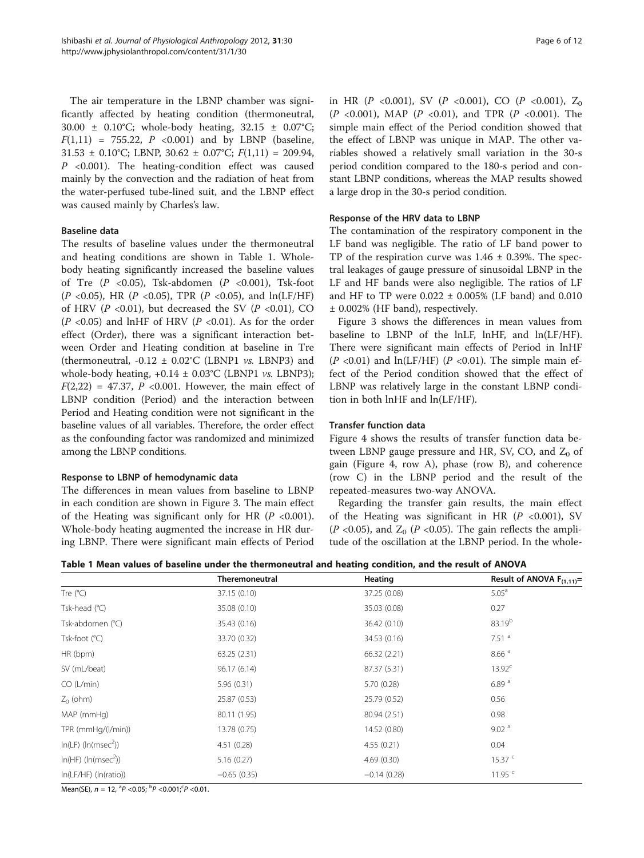The air temperature in the LBNP chamber was significantly affected by heating condition (thermoneutral, 30.00 ± 0.10°C; whole-body heating, 32.15 ± 0.07°C;  $F(1,11) = 755.22, P < 0.001$  and by LBNP (baseline,  $31.53 \pm 0.10^{\circ}\text{C}$ ; LBNP,  $30.62 \pm 0.07^{\circ}\text{C}$ ;  $F(1,11) = 209.94$ ,  $P \sim 0.001$ ). The heating-condition effect was caused mainly by the convection and the radiation of heat from the water-perfused tube-lined suit, and the LBNP effect was caused mainly by Charles's law.

#### Baseline data

The results of baseline values under the thermoneutral and heating conditions are shown in Table 1. Wholebody heating significantly increased the baseline values of Tre  $(P \le 0.05)$ , Tsk-abdomen  $(P \le 0.001)$ , Tsk-foot (P <0.05), HR (P <0.05), TPR (P <0.05), and  $ln(LF/HF)$ of HRV ( $P < 0.01$ ), but decreased the SV ( $P < 0.01$ ), CO ( $P$  <0.05) and lnHF of HRV ( $P$  <0.01). As for the order effect (Order), there was a significant interaction between Order and Heating condition at baseline in Tre (thermoneutral,  $-0.12 \pm 0.02$ °C (LBNP1 *vs.* LBNP3) and whole-body heating,  $+0.14 \pm 0.03$ °C (LBNP1 *vs.* LBNP3);  $F(2,22) = 47.37$ ,  $P < 0.001$ . However, the main effect of LBNP condition (Period) and the interaction between Period and Heating condition were not significant in the baseline values of all variables. Therefore, the order effect as the confounding factor was randomized and minimized among the LBNP conditions.

# Response to LBNP of hemodynamic data

The differences in mean values from baseline to LBNP in each condition are shown in Figure [3.](#page-6-0) The main effect of the Heating was significant only for HR  $(P \le 0.001)$ . Whole-body heating augmented the increase in HR during LBNP. There were significant main effects of Period in HR (P <0.001), SV (P <0.001), CO (P <0.001),  $Z_0$  $(P \le 0.001)$ , MAP  $(P \le 0.01)$ , and TPR  $(P \le 0.001)$ . The simple main effect of the Period condition showed that the effect of LBNP was unique in MAP. The other variables showed a relatively small variation in the 30-s period condition compared to the 180-s period and constant LBNP conditions, whereas the MAP results showed a large drop in the 30-s period condition.

#### Response of the HRV data to LBNP

The contamination of the respiratory component in the LF band was negligible. The ratio of LF band power to TP of the respiration curve was  $1.46 \pm 0.39\%$ . The spectral leakages of gauge pressure of sinusoidal LBNP in the LF and HF bands were also negligible. The ratios of LF and HF to TP were  $0.022 \pm 0.005\%$  (LF band) and  $0.010$ ± 0.002% (HF band), respectively.

Figure [3](#page-6-0) shows the differences in mean values from baseline to LBNP of the lnLF, lnHF, and ln(LF/HF). There were significant main effects of Period in lnHF  $(P \le 0.01)$  and ln(LF/HF)  $(P \le 0.01)$ . The simple main effect of the Period condition showed that the effect of LBNP was relatively large in the constant LBNP condition in both lnHF and ln(LF/HF).

#### Transfer function data

Figure [4](#page-7-0) shows the results of transfer function data between LBNP gauge pressure and HR, SV, CO, and  $Z_0$  of gain (Figure [4](#page-7-0), row A), phase (row B), and coherence (row C) in the LBNP period and the result of the repeated-measures two-way ANOVA.

Regarding the transfer gain results, the main effect of the Heating was significant in HR  $(P \le 0.001)$ , SV ( $P$  <0.05), and  $Z_0$  ( $P$  <0.05). The gain reflects the amplitude of the oscillation at the LBNP period. In the whole-

Table 1 Mean values of baseline under the thermoneutral and heating condition, and the result of ANOVA

|                             | <b>Theremoneutral</b> | Heating       | Result of ANOVA $F_{(1,11)} =$ |
|-----------------------------|-----------------------|---------------|--------------------------------|
| Tre $(^{\circ}C)$           | 37.15 (0.10)          | 37.25 (0.08)  | 5.05 <sup>a</sup>              |
| Tsk-head (°C)               | 35.08 (0.10)          | 35.03 (0.08)  | 0.27                           |
| Tsk-abdomen (°C)            | 35.43 (0.16)          | 36.42 (0.10)  | 83.19 <sup>b</sup>             |
| Tsk-foot (°C)               | 33.70 (0.32)          | 34.53 (0.16)  | $7.51$ <sup>a</sup>            |
| HR (bpm)                    | 63.25 (2.31)          | 66.32 (2.21)  | 8.66 <sup>a</sup>              |
| SV (mL/beat)                | 96.17 (6.14)          | 87.37 (5.31)  | 13.92 <sup>c</sup>             |
| CO (L/min)                  | 5.96(0.31)            | 5.70 (0.28)   | 6.89 <sup>a</sup>              |
| $Z_0$ (ohm)                 | 25.87 (0.53)          | 25.79 (0.52)  | 0.56                           |
| MAP (mmHg)                  | 80.11 (1.95)          | 80.94 (2.51)  | 0.98                           |
| TPR (mmHg/(l/min))          | 13.78 (0.75)          | 14.52 (0.80)  | 9.02 <sup>a</sup>              |
| $ln(LF)$ ( $ln(msec^2)$ )   | 4.51(0.28)            | 4.55(0.21)    | 0.04                           |
| $ln(HF)$ ( $ln(msec2)$ )    | 5.16(0.27)            | 4.69(0.30)    | 15.37 <sup>c</sup>             |
| $ln(LF/HF)$ ( $ln(ratio)$ ) | $-0.65(0.35)$         | $-0.14(0.28)$ | 11.95 $C$                      |

Mean(SE),  $n = 12$ ,  ${}^{a}P < 0.05$ ;  ${}^{b}P < 0.001$ ;  ${}^{c}P < 0.01$ .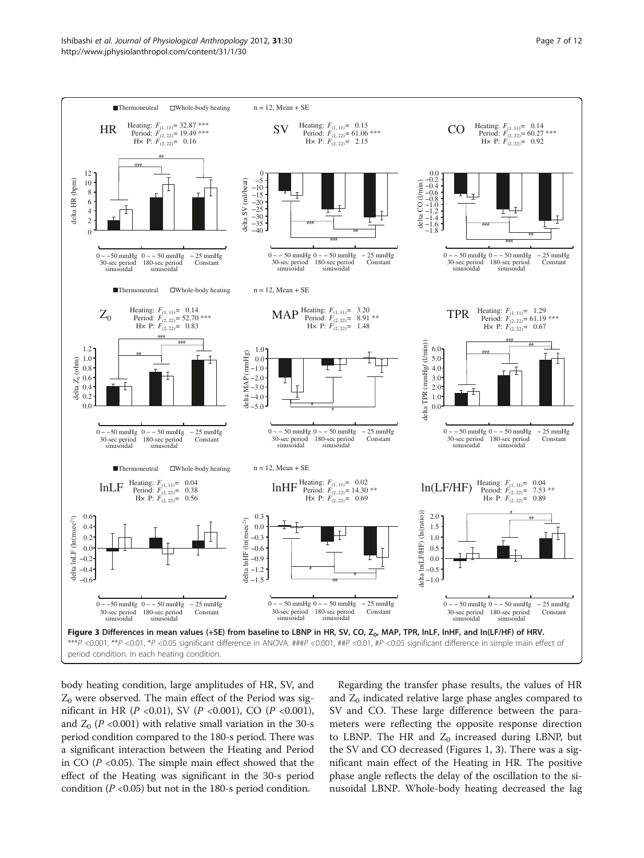<span id="page-6-0"></span>

body heating condition, large amplitudes of HR, SV, and  $Z_0$  were observed. The main effect of the Period was significant in HR ( $P$  <0.01), SV ( $P$  <0.001), CO ( $P$  <0.001), and  $Z_0$  (P <0.001) with relative small variation in the 30-s period condition compared to the 180-s period. There was a significant interaction between the Heating and Period in CO  $(P \le 0.05)$ . The simple main effect showed that the effect of the Heating was significant in the 30-s period condition ( $P \le 0.05$ ) but not in the 180-s period condition.

Regarding the transfer phase results, the values of HR and  $Z_0$  indicated relative large phase angles compared to SV and CO. These large difference between the parameters were reflecting the opposite response direction to LBNP. The HR and  $Z_0$  increased during LBNP, but the SV and CO decreased (Figures [1](#page-2-0), 3). There was a significant main effect of the Heating in HR. The positive phase angle reflects the delay of the oscillation to the sinusoidal LBNP. Whole-body heating decreased the lag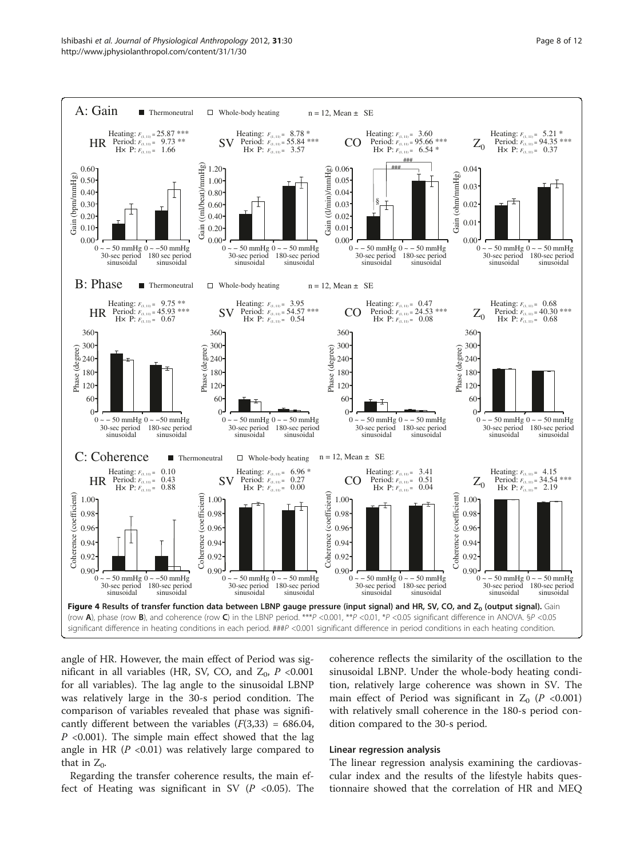<span id="page-7-0"></span>

angle of HR. However, the main effect of Period was significant in all variables (HR, SV, CO, and  $Z_0$ , P <0.001 for all variables). The lag angle to the sinusoidal LBNP was relatively large in the 30-s period condition. The comparison of variables revealed that phase was significantly different between the variables  $(F(3,33) = 686.04,$  $P$  <0.001). The simple main effect showed that the lag angle in HR  $(P < 0.01)$  was relatively large compared to that in  $Z_0$ .

Regarding the transfer coherence results, the main effect of Heating was significant in SV  $(P \lt 0.05)$ . The coherence reflects the similarity of the oscillation to the sinusoidal LBNP. Under the whole-body heating condition, relatively large coherence was shown in SV. The main effect of Period was significant in  $Z_0$  (P <0.001) with relatively small coherence in the 180-s period condition compared to the 30-s period.

#### Linear regression analysis

The linear regression analysis examining the cardiovascular index and the results of the lifestyle habits questionnaire showed that the correlation of HR and MEQ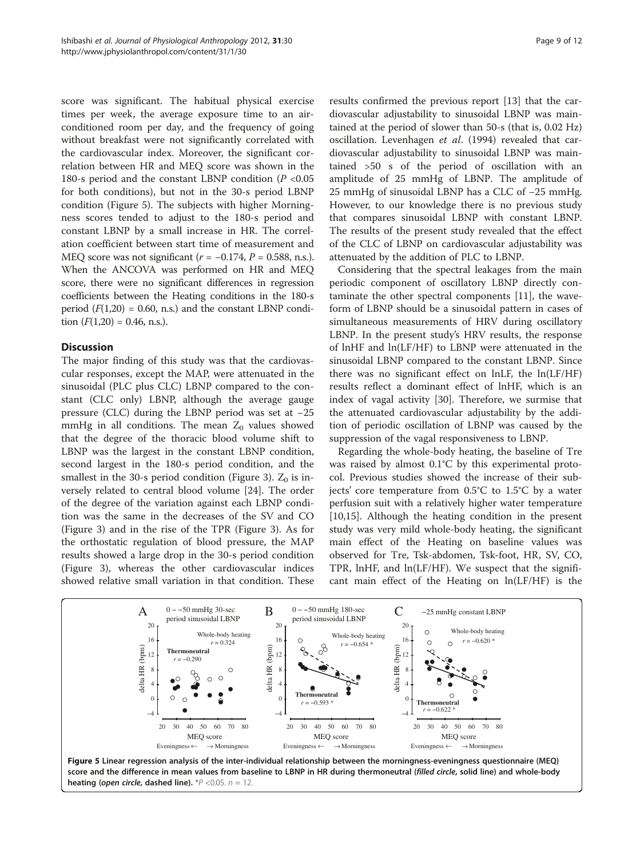score was significant. The habitual physical exercise times per week, the average exposure time to an airconditioned room per day, and the frequency of going without breakfast were not significantly correlated with the cardiovascular index. Moreover, the significant correlation between HR and MEQ score was shown in the 180-s period and the constant LBNP condition  $(P<0.05$ for both conditions), but not in the 30-s period LBNP condition (Figure 5). The subjects with higher Morningness scores tended to adjust to the 180-s period and constant LBNP by a small increase in HR. The correlation coefficient between start time of measurement and MEQ score was not significant ( $r = -0.174$ ,  $P = 0.588$ , n.s.). When the ANCOVA was performed on HR and MEQ score, there were no significant differences in regression coefficients between the Heating conditions in the 180-s period  $(F(1,20) = 0.60, n.s.)$  and the constant LBNP condition  $(F(1,20) = 0.46, n.s.).$ 

# **Discussion**

The major finding of this study was that the cardiovascular responses, except the MAP, were attenuated in the sinusoidal (PLC plus CLC) LBNP compared to the constant (CLC only) LBNP, although the average gauge pressure (CLC) during the LBNP period was set at −25 mmHg in all conditions. The mean  $Z_0$  values showed that the degree of the thoracic blood volume shift to LBNP was the largest in the constant LBNP condition, second largest in the 180-s period condition, and the smallest in the [3](#page-6-0)0-s period condition (Figure 3).  $Z_0$  is inversely related to central blood volume [\[24\]](#page-11-0). The order of the degree of the variation against each LBNP condition was the same in the decreases of the SV and CO (Figure [3](#page-6-0)) and in the rise of the TPR (Figure [3\)](#page-6-0). As for the orthostatic regulation of blood pressure, the MAP results showed a large drop in the 30-s period condition (Figure [3](#page-6-0)), whereas the other cardiovascular indices showed relative small variation in that condition. These results confirmed the previous report [[13\]](#page-10-0) that the cardiovascular adjustability to sinusoidal LBNP was maintained at the period of slower than 50-s (that is, 0.02 Hz) oscillation. Levenhagen et al. (1994) revealed that cardiovascular adjustability to sinusoidal LBNP was maintained >50 s of the period of oscillation with an amplitude of 25 mmHg of LBNP. The amplitude of 25 mmHg of sinusoidal LBNP has a CLC of −25 mmHg. However, to our knowledge there is no previous study that compares sinusoidal LBNP with constant LBNP. The results of the present study revealed that the effect of the CLC of LBNP on cardiovascular adjustability was attenuated by the addition of PLC to LBNP.

Considering that the spectral leakages from the main periodic component of oscillatory LBNP directly contaminate the other spectral components [\[11](#page-10-0)], the waveform of LBNP should be a sinusoidal pattern in cases of simultaneous measurements of HRV during oscillatory LBNP. In the present study's HRV results, the response of lnHF and ln(LF/HF) to LBNP were attenuated in the sinusoidal LBNP compared to the constant LBNP. Since there was no significant effect on lnLF, the ln(LF/HF) results reflect a dominant effect of lnHF, which is an index of vagal activity [\[30\]](#page-11-0). Therefore, we surmise that the attenuated cardiovascular adjustability by the addition of periodic oscillation of LBNP was caused by the suppression of the vagal responsiveness to LBNP.

Regarding the whole-body heating, the baseline of Tre was raised by almost 0.1°C by this experimental protocol. Previous studies showed the increase of their subjects' core temperature from 0.5°C to 1.5°C by a water perfusion suit with a relatively higher water temperature [[10,15\]](#page-10-0). Although the heating condition in the present study was very mild whole-body heating, the significant main effect of the Heating on baseline values was observed for Tre, Tsk-abdomen, Tsk-foot, HR, SV, CO, TPR, lnHF, and ln(LF/HF). We suspect that the significant main effect of the Heating on ln(LF/HF) is the

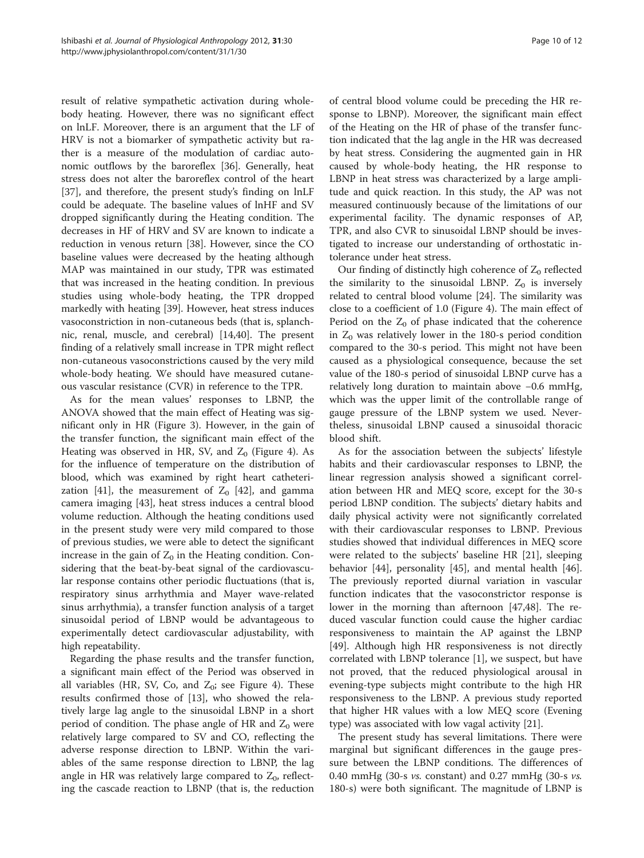result of relative sympathetic activation during wholebody heating. However, there was no significant effect on lnLF. Moreover, there is an argument that the LF of HRV is not a biomarker of sympathetic activity but rather is a measure of the modulation of cardiac autonomic outflows by the baroreflex [\[36](#page-11-0)]. Generally, heat stress does not alter the baroreflex control of the heart [[37\]](#page-11-0), and therefore, the present study's finding on lnLF could be adequate. The baseline values of lnHF and SV dropped significantly during the Heating condition. The decreases in HF of HRV and SV are known to indicate a reduction in venous return [\[38](#page-11-0)]. However, since the CO baseline values were decreased by the heating although MAP was maintained in our study, TPR was estimated that was increased in the heating condition. In previous studies using whole-body heating, the TPR dropped markedly with heating [\[39](#page-11-0)]. However, heat stress induces vasoconstriction in non-cutaneous beds (that is, splanchnic, renal, muscle, and cerebral) [\[14](#page-10-0)[,40](#page-11-0)]. The present finding of a relatively small increase in TPR might reflect non-cutaneous vasoconstrictions caused by the very mild whole-body heating. We should have measured cutaneous vascular resistance (CVR) in reference to the TPR.

As for the mean values' responses to LBNP, the ANOVA showed that the main effect of Heating was significant only in HR (Figure [3\)](#page-6-0). However, in the gain of the transfer function, the significant main effect of the Heating was observed in HR, SV, and  $Z_0$  (Figure [4\)](#page-7-0). As for the influence of temperature on the distribution of blood, which was examined by right heart catheteri-zation [\[41\]](#page-11-0), the measurement of  $Z_0$  [\[42](#page-11-0)], and gamma camera imaging [[43](#page-11-0)], heat stress induces a central blood volume reduction. Although the heating conditions used in the present study were very mild compared to those of previous studies, we were able to detect the significant increase in the gain of  $Z_0$  in the Heating condition. Considering that the beat-by-beat signal of the cardiovascular response contains other periodic fluctuations (that is, respiratory sinus arrhythmia and Mayer wave-related sinus arrhythmia), a transfer function analysis of a target sinusoidal period of LBNP would be advantageous to experimentally detect cardiovascular adjustability, with high repeatability.

Regarding the phase results and the transfer function, a significant main effect of the Period was observed in all variables (HR, SV, Co, and  $Z_0$ ; see Figure [4\)](#page-7-0). These results confirmed those of [\[13\]](#page-10-0), who showed the relatively large lag angle to the sinusoidal LBNP in a short period of condition. The phase angle of HR and  $Z_0$  were relatively large compared to SV and CO, reflecting the adverse response direction to LBNP. Within the variables of the same response direction to LBNP, the lag angle in HR was relatively large compared to  $Z_0$ , reflecting the cascade reaction to LBNP (that is, the reduction

of central blood volume could be preceding the HR response to LBNP). Moreover, the significant main effect of the Heating on the HR of phase of the transfer function indicated that the lag angle in the HR was decreased by heat stress. Considering the augmented gain in HR caused by whole-body heating, the HR response to LBNP in heat stress was characterized by a large amplitude and quick reaction. In this study, the AP was not measured continuously because of the limitations of our experimental facility. The dynamic responses of AP, TPR, and also CVR to sinusoidal LBNP should be investigated to increase our understanding of orthostatic intolerance under heat stress.

Our finding of distinctly high coherence of  $Z_0$  reflected the similarity to the sinusoidal LBNP.  $Z_0$  is inversely related to central blood volume [\[24](#page-11-0)]. The similarity was close to a coefficient of 1.0 (Figure [4](#page-7-0)). The main effect of Period on the  $Z_0$  of phase indicated that the coherence in  $Z_0$  was relatively lower in the 180-s period condition compared to the 30-s period. This might not have been caused as a physiological consequence, because the set value of the 180-s period of sinusoidal LBNP curve has a relatively long duration to maintain above −0.6 mmHg, which was the upper limit of the controllable range of gauge pressure of the LBNP system we used. Nevertheless, sinusoidal LBNP caused a sinusoidal thoracic blood shift.

As for the association between the subjects' lifestyle habits and their cardiovascular responses to LBNP, the linear regression analysis showed a significant correlation between HR and MEQ score, except for the 30-s period LBNP condition. The subjects' dietary habits and daily physical activity were not significantly correlated with their cardiovascular responses to LBNP. Previous studies showed that individual differences in MEQ score were related to the subjects' baseline HR [\[21](#page-10-0)], sleeping behavior [\[44](#page-11-0)], personality [\[45\]](#page-11-0), and mental health [\[46](#page-11-0)]. The previously reported diurnal variation in vascular function indicates that the vasoconstrictor response is lower in the morning than afternoon [[47,48\]](#page-11-0). The reduced vascular function could cause the higher cardiac responsiveness to maintain the AP against the LBNP [[49\]](#page-11-0). Although high HR responsiveness is not directly correlated with LBNP tolerance [[1\]](#page-10-0), we suspect, but have not proved, that the reduced physiological arousal in evening-type subjects might contribute to the high HR responsiveness to the LBNP. A previous study reported that higher HR values with a low MEQ score (Evening type) was associated with low vagal activity [\[21](#page-10-0)].

The present study has several limitations. There were marginal but significant differences in the gauge pressure between the LBNP conditions. The differences of 0.40 mmHg (30-s  $vs.$  constant) and 0.27 mmHg (30-s  $vs.$ 180-s) were both significant. The magnitude of LBNP is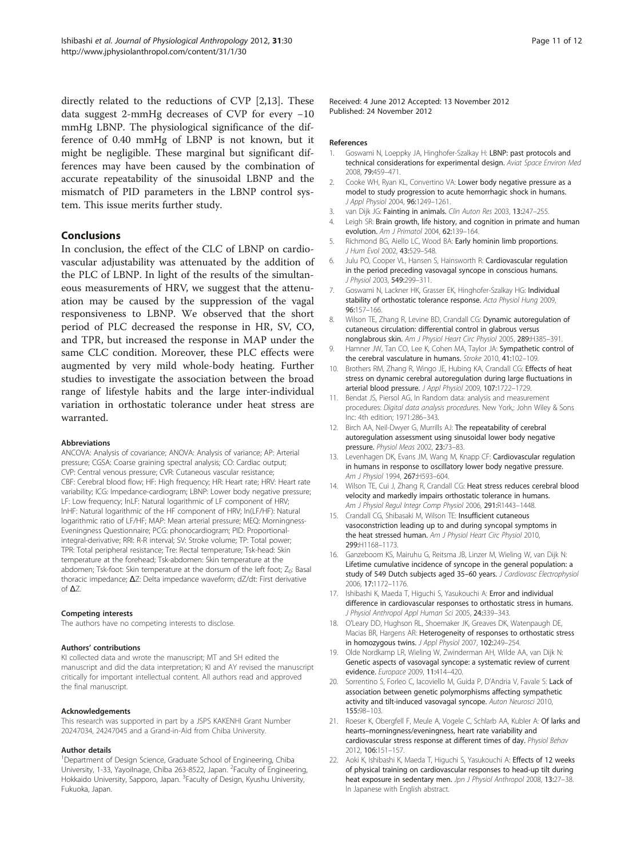<span id="page-10-0"></span>directly related to the reductions of CVP [2,13]. These data suggest 2-mmHg decreases of CVP for every −10 mmHg LBNP. The physiological significance of the difference of 0.40 mmHg of LBNP is not known, but it might be negligible. These marginal but significant differences may have been caused by the combination of accurate repeatability of the sinusoidal LBNP and the mismatch of PID parameters in the LBNP control system. This issue merits further study.

#### Conclusions

In conclusion, the effect of the CLC of LBNP on cardiovascular adjustability was attenuated by the addition of the PLC of LBNP. In light of the results of the simultaneous measurements of HRV, we suggest that the attenuation may be caused by the suppression of the vagal responsiveness to LBNP. We observed that the short period of PLC decreased the response in HR, SV, CO, and TPR, but increased the response in MAP under the same CLC condition. Moreover, these PLC effects were augmented by very mild whole-body heating. Further studies to investigate the association between the broad range of lifestyle habits and the large inter-individual variation in orthostatic tolerance under heat stress are warranted.

#### Abbreviations

ANCOVA: Analysis of covariance; ANOVA: Analysis of variance; AP: Arterial pressure; CGSA: Coarse graining spectral analysis; CO: Cardiac output; CVP: Central venous pressure; CVR: Cutaneous vascular resistance; CBF: Cerebral blood flow; HF: High frequency; HR: Heart rate; HRV: Heart rate variability; ICG: Impedance-cardiogram; LBNP: Lower body negative pressure; LF: Low frequency; lnLF: Natural logarithmic of LF component of HRV; lnHF: Natural logarithmic of the HF component of HRV; ln(LF/HF): Natural logarithmic ratio of LF/HF; MAP: Mean arterial pressure; MEQ: Morningness-Eveningness Questionnaire; PCG: phonocardiogram; PID: Proportionalintegral-derivative; RRI: R-R interval; SV: Stroke volume; TP: Total power; TPR: Total peripheral resistance; Tre: Rectal temperature; Tsk-head: Skin temperature at the forehead; Tsk-abdomen: Skin temperature at the abdomen; Tsk-foot: Skin temperature at the dorsum of the left foot; Z<sub>0</sub>: Basal thoracic impedance; ΔZ: Delta impedance waveform; dZ/dt: First derivative of ΔZ.

#### Competing interests

The authors have no competing interests to disclose.

#### Authors' contributions

KI collected data and wrote the manuscript; MT and SH edited the manuscript and did the data interpretation; KI and AY revised the manuscript critically for important intellectual content. All authors read and approved the final manuscript.

#### Acknowledgements

This research was supported in part by a JSPS KAKENHI Grant Number 20247034, 24247045 and a Grand-in-Aid from Chiba University.

#### Author details

<sup>1</sup>Department of Design Science, Graduate School of Engineering, Chiba University, 1-33, Yayoilnage, Chiba 263-8522, Japan. <sup>2</sup>Faculty of Engineering, Hokkaido University, Sapporo, Japan. <sup>3</sup> Faculty of Design, Kyushu University, Fukuoka, Japan.

Received: 4 June 2012 Accepted: 13 November 2012 Published: 24 November 2012

#### References

- 1. Goswami N, Loeppky JA, Hinghofer-Szalkay H: LBNP: past protocols and technical considerations for experimental design. Aviat Space Environ Med 2008, 79:459–471.
- 2. Cooke WH, Ryan KL, Convertino VA: Lower body negative pressure as a model to study progression to acute hemorrhagic shock in humans. J Appl Physiol 2004, 96:1249–1261.
- 3. van Dijk JG: Fainting in animals. Clin Auton Res 2003, 13:247-255.
- 4. Leigh SR: Brain growth, life history, and cognition in primate and human evolution. Am J Primatol 2004, 62:139–164.
- 5. Richmond BG, Aiello LC, Wood BA: Early hominin limb proportions. J Hum Evol 2002, 43:529–548.
- 6. Julu PO, Cooper VL, Hansen S, Hainsworth R: Cardiovascular regulation in the period preceding vasovagal syncope in conscious humans. J Physiol 2003, 549:299–311.
- 7. Goswami N, Lackner HK, Grasser EK, Hinghofer-Szalkay HG: Individual stability of orthostatic tolerance response. Acta Physiol Hung 2009, 96:157–166.
- 8. Wilson TE, Zhang R, Levine BD, Crandall CG: Dynamic autoregulation of cutaneous circulation: differential control in glabrous versus nonglabrous skin. Am J Physiol Heart Circ Physiol 2005, 289:H385–391.
- 9. Hamner JW, Tan CO, Lee K, Cohen MA, Taylor JA: Sympathetic control of the cerebral vasculature in humans. Stroke 2010, 41:102–109.
- 10. Brothers RM, Zhang R, Wingo JE, Hubing KA, Crandall CG: Effects of heat stress on dynamic cerebral autoregulation during large fluctuations in arterial blood pressure. J Appl Physiol 2009, 107:1722–1729.
- 11. Bendat JS, Piersol AG, In Random data: analysis and measurement procedures: Digital data analysis procedures. New York,: John Wiley & Sons Inc: 4th edition; 1971:286–343.
- 12. Birch AA, Neil-Dwyer G, Murrills AJ: The repeatability of cerebral autoregulation assessment using sinusoidal lower body negative pressure. Physiol Meas 2002, 23:73–83.
- 13. Levenhagen DK, Evans JM, Wang M, Knapp CF: Cardiovascular regulation in humans in response to oscillatory lower body negative pressure. Am J Physiol 1994, 267:H593–604.
- 14. Wilson TE, Cui J, Zhang R, Crandall CG: Heat stress reduces cerebral blood velocity and markedly impairs orthostatic tolerance in humans. Am J Physiol Regul Integr Comp Physiol 2006, 291:R1443–1448.
- 15. Crandall CG, Shibasaki M, Wilson TE: Insufficient cutaneous vasoconstriction leading up to and during syncopal symptoms in the heat stressed human. Am J Physiol Heart Circ Physiol 2010, 299:H1168–1173.
- 16. Ganzeboom KS, Mairuhu G, Reitsma JB, Linzer M, Wieling W, van Dijk N: Lifetime cumulative incidence of syncope in the general population: a study of 549 Dutch subjects aged 35-60 years. J Cardiovasc Electrophysiol 2006, 17:1172–1176.
- 17. Ishibashi K, Maeda T, Higuchi S, Yasukouchi A: Error and individual difference in cardiovascular responses to orthostatic stress in humans. J Physiol Anthropol Appl Human Sci 2005, 24:339–343.
- 18. O'Leary DD, Hughson RL, Shoemaker JK, Greaves DK, Watenpaugh DE, Macias BR, Hargens AR: Heterogeneity of responses to orthostatic stress in homozygous twins. J Appl Physiol 2007, 102:249–254.
- 19. Olde Nordkamp LR, Wieling W, Zwinderman AH, Wilde AA, van Dijk N: Genetic aspects of vasovagal syncope: a systematic review of current evidence. Europace 2009, 11:414–420.
- 20. Sorrentino S, Forleo C, Iacoviello M, Guida P, D'Andria V, Favale S: Lack of association between genetic polymorphisms affecting sympathetic activity and tilt-induced vasovagal syncope. Auton Neurosci 2010, 155:98–103.
- 21. Roeser K, Obergfell F, Meule A, Vogele C, Schlarb AA, Kubler A: Of larks and hearts–morningness/eveningness, heart rate variability and cardiovascular stress response at different times of day. Physiol Behav 2012, 106:151–157.
- 22. Aoki K, Ishibashi K, Maeda T, Higuchi S, Yasukouchi A: Effects of 12 weeks of physical training on cardiovascular responses to head-up tilt during heat exposure in sedentary men. Jpn J Physiol Anthropol 2008, 13:27-38. In Japanese with English abstract.